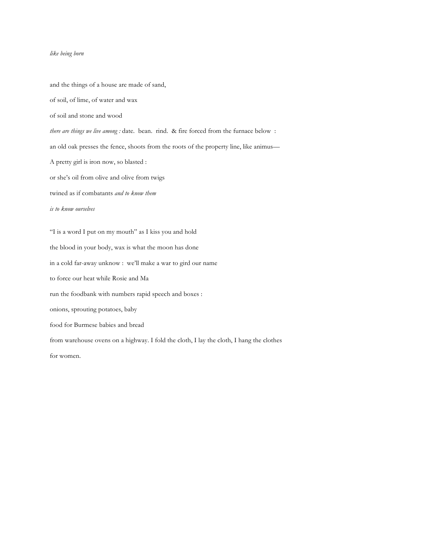## *like being born*

and the things of a house are made of sand, of soil, of lime, of water and wax of soil and stone and wood *there are things we live among :* date. bean. rind. & fire forced from the furnace below : an old oak presses the fence, shoots from the roots of the property line, like animus— A pretty girl is iron now, so blasted : or she's oil from olive and olive from twigs twined as if combatants *and to know them is to know ourselves* "I is a word I put on my mouth" as I kiss you and hold the blood in your body, wax is what the moon has done in a cold far-away unknow : we'll make a war to gird our name to force our heat while Rosie and Ma run the foodbank with numbers rapid speech and boxes : onions, sprouting potatoes, baby food for Burmese babies and bread from warehouse ovens on a highway. I fold the cloth, I lay the cloth, I hang the clothes for women.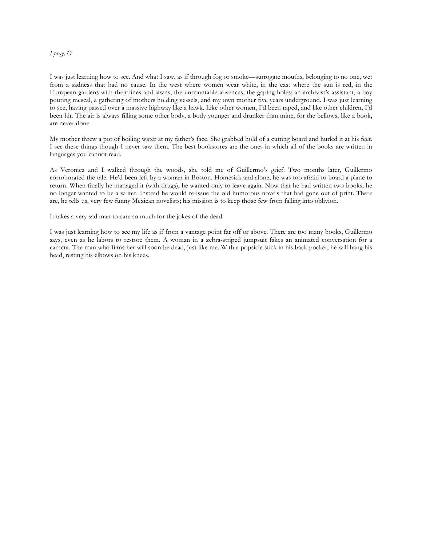## *I pray, O*

I was just learning how to see. And what I saw, as if through fog or smoke—surrogate mouths, belonging to no one, wet from a sadness that had no cause. In the west where women wear white, in the east where the sun is red, in the European gardens with their lines and lawns, the uncountable absences, the gaping holes: an archivist's assistant, a boy pouring mescal, a gathering of mothers holding vessels, and my own mother five years underground. I was just learning to see, having passed over a massive highway like a hawk. Like other women, I'd been raped, and like other children, I'd been hit. The air is always filling some other body, a body younger and drunker than mine, for the bellows, like a book, are never done.

My mother threw a pot of boiling water at my father's face. She grabbed hold of a cutting board and hurled it at his feet. I see these things though I never saw them. The best bookstores are the ones in which all of the books are written in languages you cannot read.

As Veronica and I walked through the woods, she told me of Guillermo's grief. Two months later, Guillermo corroborated the tale. He'd been left by a woman in Boston. Homesick and alone, he was too afraid to board a plane to return. When finally he managed it (with drugs), he wanted only to leave again. Now that he had written two books, he no longer wanted to be a writer. Instead he would re-issue the old humorous novels that had gone out of print. There are, he tells us, very few funny Mexican novelists; his mission is to keep those few from falling into oblivion.

It takes a very sad man to care so much for the jokes of the dead.

I was just learning how to see my life as if from a vantage point far off or above. There are too many books, Guillermo says, even as he labors to restore them. A woman in a zebra-striped jumpsuit fakes an animated conversation for a camera. The man who films her will soon be dead, just like me. With a popsicle stick in his back pocket, he will hang his head, resting his elbows on his knees.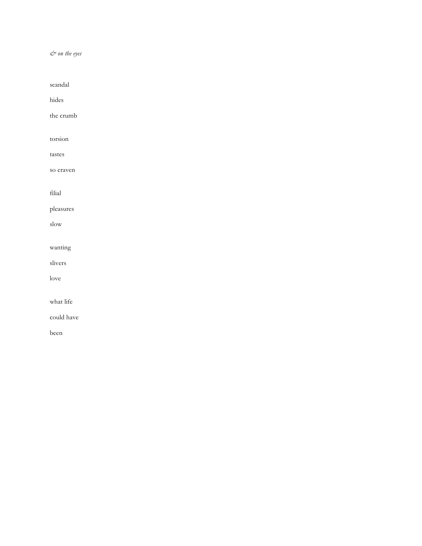*& on the eyes*

scandal hides the crumb torsion tastes so craven filial pleasures slow wanting slivers love what life could have been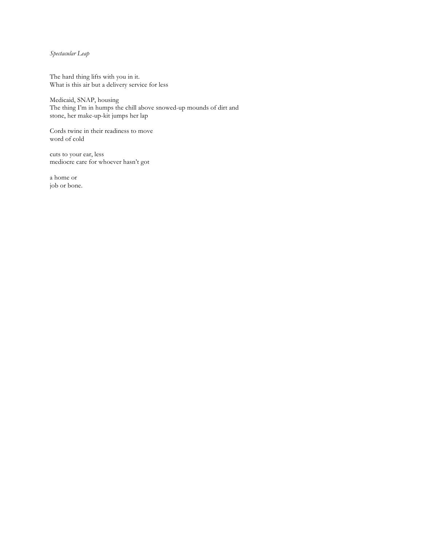*Spectacular Leap*

The hard thing lifts with you in it. What is this air but a delivery service for less

Medicaid, SNAP, housing The thing I'm in humps the chill above snowed-up mounds of dirt and stone, her make-up-kit jumps her lap

Cords twine in their readiness to move word of cold

cuts to your ear, less mediocre care for whoever hasn't got

a home or job or bone.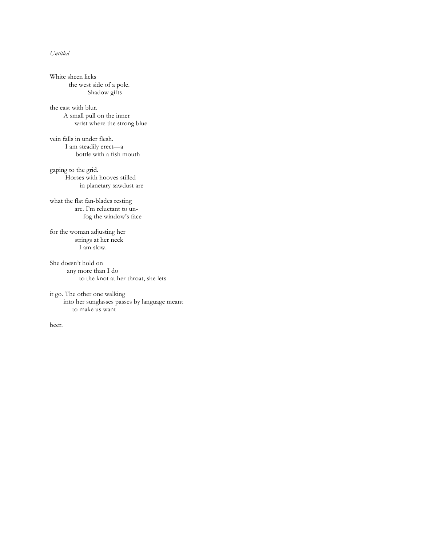## *Untitled*

White sheen licks the west side of a pole. Shadow gifts the east with blur. A small pull on the inner wrist where the strong blue vein falls in under flesh. I am steadily erect—a bottle with a fish mouth gaping to the grid. Horses with hooves stilled in planetary sawdust are what the flat fan-blades resting are. I'm reluctant to un fog the window's face for the woman adjusting her strings at her neck I am slow. She doesn't hold on any more than I do to the knot at her throat, she lets it go. The other one walking into her sunglasses passes by language meant to make us want

beer.